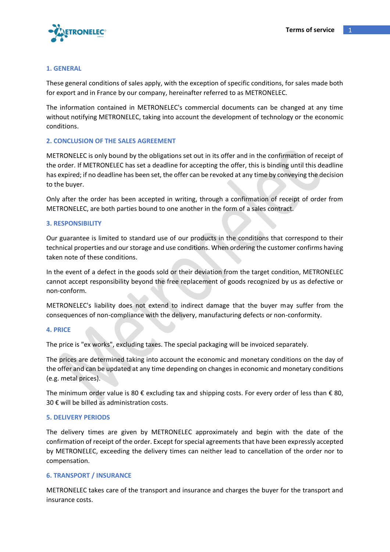

### **1. GENERAL**

These general conditions of sales apply, with the exception of specific conditions, for sales made both for export and in France by our company, hereinafter referred to as METRONELEC.

The information contained in METRONELEC's commercial documents can be changed at any time without notifying METRONELEC, taking into account the development of technology or the economic conditions.

### **2. CONCLUSION OF THE SALES AGREEMENT**

METRONELEC is only bound by the obligations set out in its offer and in the confirmation of receipt of the order. If METRONELEC has set a deadline for accepting the offer, this is binding until this deadline has expired; if no deadline has been set, the offer can be revoked at any time by conveying the decision to the buyer.

Only after the order has been accepted in writing, through a confirmation of receipt of order from METRONELEC, are both parties bound to one another in the form of a sales contract.

### **3. RESPONSIBILITY**

Our guarantee is limited to standard use of our products in the conditions that correspond to their technical properties and our storage and use conditions. When ordering the customer confirms having taken note of these conditions.

In the event of a defect in the goods sold or their deviation from the target condition, METRONELEC cannot accept responsibility beyond the free replacement of goods recognized by us as defective or non-conform.

METRONELEC's liability does not extend to indirect damage that the buyer may suffer from the consequences of non-compliance with the delivery, manufacturing defects or non-conformity.

#### **4. PRICE**

The price is "ex works", excluding taxes. The special packaging will be invoiced separately.

The prices are determined taking into account the economic and monetary conditions on the day of the offer and can be updated at any time depending on changes in economic and monetary conditions (e.g. metal prices).

The minimum order value is 80 € excluding tax and shipping costs. For every order of less than  $\epsilon$  80, 30 € will be billed as administration costs.

#### **5. DELIVERY PERIODS**

The delivery times are given by METRONELEC approximately and begin with the date of the confirmation of receipt of the order. Except for special agreements that have been expressly accepted by METRONELEC, exceeding the delivery times can neither lead to cancellation of the order nor to compensation.

## **6. TRANSPORT / INSURANCE**

METRONELEC takes care of the transport and insurance and charges the buyer for the transport and insurance costs.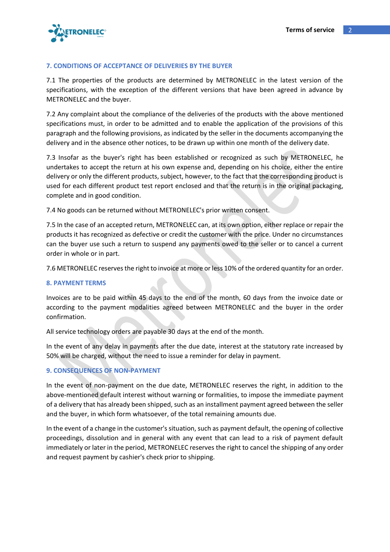

## **7. CONDITIONS OF ACCEPTANCE OF DELIVERIES BY THE BUYER**

7.1 The properties of the products are determined by METRONELEC in the latest version of the specifications, with the exception of the different versions that have been agreed in advance by METRONELEC and the buyer.

7.2 Any complaint about the compliance of the deliveries of the products with the above mentioned specifications must, in order to be admitted and to enable the application of the provisions of this paragraph and the following provisions, as indicated by the seller in the documents accompanying the delivery and in the absence other notices, to be drawn up within one month of the delivery date.

7.3 Insofar as the buyer's right has been established or recognized as such by METRONELEC, he undertakes to accept the return at his own expense and, depending on his choice, either the entire delivery or only the different products, subject, however, to the fact that the corresponding product is used for each different product test report enclosed and that the return is in the original packaging, complete and in good condition.

7.4 No goods can be returned without METRONELEC's prior written consent.

7.5 In the case of an accepted return, METRONELEC can, at its own option, either replace or repair the products it has recognized as defective or credit the customer with the price. Under no circumstances can the buyer use such a return to suspend any payments owed to the seller or to cancel a current order in whole or in part.

7.6 METRONELEC reserves the right to invoice at more or less 10% of the ordered quantity for an order.

## **8. PAYMENT TERMS**

Invoices are to be paid within 45 days to the end of the month, 60 days from the invoice date or according to the payment modalities agreed between METRONELEC and the buyer in the order confirmation.

All service technology orders are payable 30 days at the end of the month.

In the event of any delay in payments after the due date, interest at the statutory rate increased by 50% will be charged, without the need to issue a reminder for delay in payment.

## **9. CONSEQUENCES OF NON-PAYMENT**

In the event of non-payment on the due date, METRONELEC reserves the right, in addition to the above-mentioned default interest without warning or formalities, to impose the immediate payment of a delivery that has already been shipped, such as an installment payment agreed between the seller and the buyer, in which form whatsoever, of the total remaining amounts due.

In the event of a change in the customer's situation, such as payment default, the opening of collective proceedings, dissolution and in general with any event that can lead to a risk of payment default immediately or later in the period, METRONELEC reserves the right to cancel the shipping of any order and request payment by cashier's check prior to shipping.